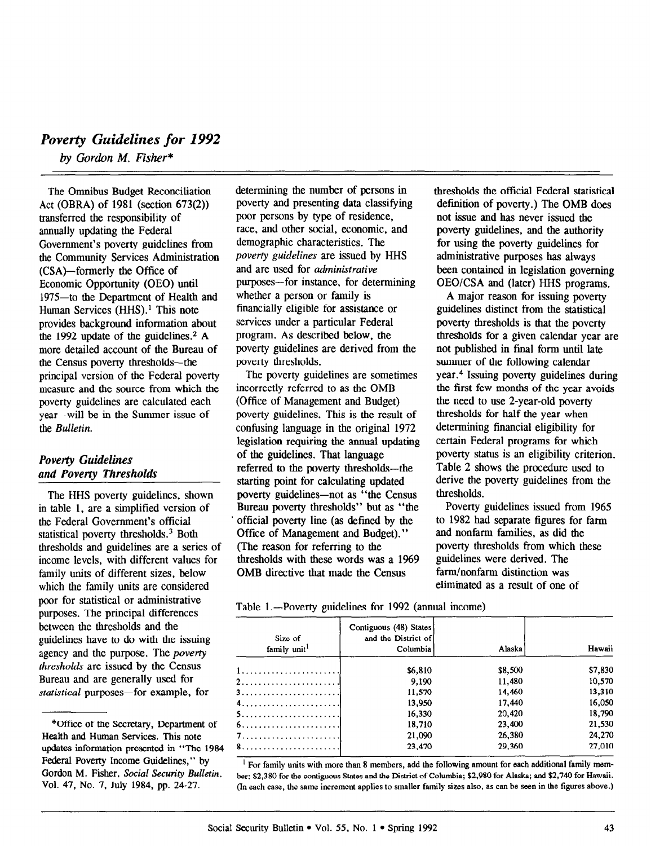# Poverty Guidelines for 1992

by Gordon M. Fisher\*

The Omnibus Budget Reconciliation Act (OBRA) of 1981 (section 673(2)) transferred the responsibility of annually updating the Federal Government's poverty guidelines from the Community Services Administration (CSA)-formerly the Office of Economic Opportunity (OEO) until 1975-to the Department of Health and Human Services (HHS).<sup>1</sup> This note provides background information about the 1992 update of the guidelines.<sup>2</sup> A more detailed account of the Bureau of the Census poverty thresholds-the principal version of the Federal poverty measure and the source from which the poverty guidelines are calculated each year-will be in the Summer issue of the Bulletin.

## Poverty Guidelines and Poverty Thresholds

The HHS poverty guidelines, shown in table 1, are a simplified version of the Federal Government's official statistical poverty thresholds.<sup>3</sup> Both thresholds and guidelines are a series of income levels, with different values for family units of different sizes, below which the family units are considered poor for statistical or administrative purposes. The principal differences between the thresholds and the guidelines have to do with the issuing agency and the purpose. The poverty thresholds are issued by the Census  $B_{\text{B}}$  and are generally used  $\frac{1}{2}$  $\frac{1}{2}$  but an and generally used for

determining the number of persons in poverty and presenting data classifying poor persons by type of residence, race, and other social, economic, and demographic characteristics. The poverty guidelines are issued by HHS and are used for *administrative* purposes-for instance, for determining whether a person or family is financially eligible for assistance or services under a particular Federal program. As described below, the poverty guidelines are derived from the poverty thresholds.

The poverty guidelines are sometimes incorrectly referred to as the OMB (Office of Management and Budget) poverty guidelines. This is the result of confusing language in the original 1972 legislation requiring the annual updating of the guidelines. That language referred to the poverty thresholds-the starting point for calculating updated poverty guidelines—not as "the Census" Bureau poverty thresholds" but as "the official poverty line (as defined by the Office of Management and Budget)." (The reason for referring to the thresholds with these words was a 1969 OMB directive that made the Census

thresholds the official Federal statistical definition of poverty.) The OMB does not issue and has never issued the poverty guidelines, and the authority for using the poverty guidelines for administrative purposes has always been contained in legislation governing OEO/CSA and (later) HHS programs.

A major reason for issuing poverty guidelines distinct from the statistical poverty thresholds is that the poverty thresholds for a given calendar year are not published in final form until late summer of the following calendar year.4 Issuing poverty guidelines during the first few months of the year avoids the need to use 2-year-old poverty thresholds for half the year when determining financial eligibility for certain Federal programs for which poverty status is an eligibility criterion. Table 2 shows the procedure used to derive the poverty guidelines from the thresholds.

Poverty guidelines issued from 1965 to 1982 had separate figures for farm and nonfarm families, as did the poverty thresholds from which these guidelines were derived. The farm/nonfarm distinction was eliminated as a result of one of

Table 1.—Poverty guidelines for 1992 (annual income)

| Size of<br>family unit <sup>1</sup> | Contiguous (48) States<br>and the District of<br>Columbia | Alaska  | Hawaii  |
|-------------------------------------|-----------------------------------------------------------|---------|---------|
|                                     | \$6,810                                                   | \$8,500 | \$7,830 |
|                                     | 9.190                                                     | 11,480  | 10.570  |
|                                     | 11,570                                                    | 14,460  | 13,310  |
|                                     | 13,950                                                    | 17,440  | 16,050  |
|                                     | 16,330                                                    | 20,420  | 18.790  |
|                                     | 18,710                                                    | 23,400  | 21,530  |
|                                     | 21,090                                                    | 26,380  | 24,270  |
|                                     | 23,470                                                    | 29,360  | 27,010  |

For tanniy units with more than 6 members, and the following amount for each and though family then ber: \$2,380 for the contiguous States and the District of Columbia; \$2,980 for Alaska; and \$2,740 for Hawaii.<br>(In each case, the same increment applies to smaller family sizes also, as can be seen in the figures above.)

 $\overline{\phantom{a}}$ UILCE OF the Secretary, Department Health and Human Services. This note updates information presented in "The 1984 Federal Poverty Income Guidelines," by Gordon M. Fisher, Social Security Bulletin, Vol. 47, No. 7, July 1984, pp. 24-27.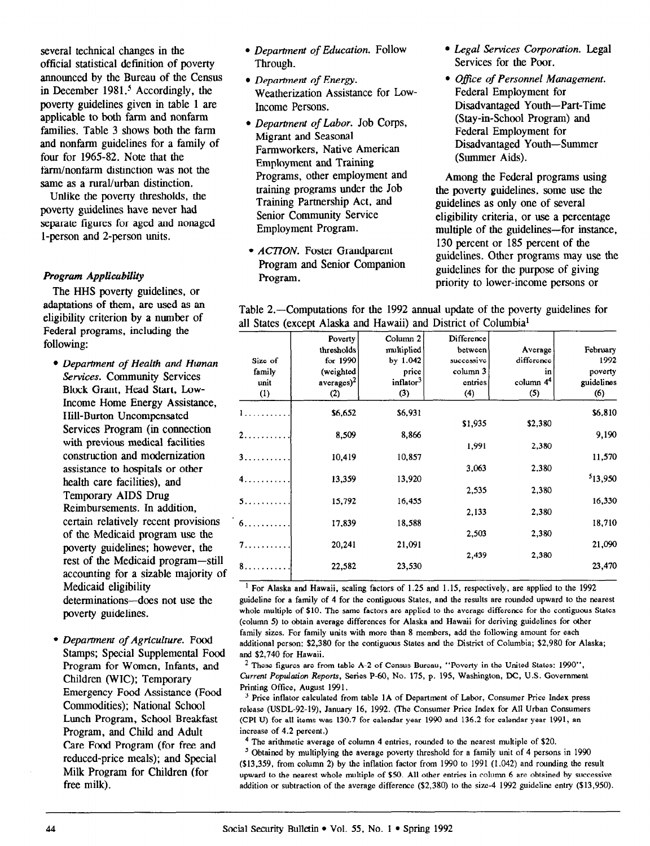several technical changes in the official statistical definition of poverty announced by the Bureau of the Census in December  $1981<sup>5</sup>$  Accordingly, the poverty guidelines given in table 1 are applicable to both farm and nonfarm families. Table 3 shows both the farm and nonfarm guidelines for a family of four for 1965-82. Note that the farm/nonfarm distinction was not the same as a rural/urban distinction.

Unlike the poverty thresholds, the poverty guidelines have never had separate figures for aged and nonaged l-person and 2-person units.

#### Program Applicubility

The HHS poverty guidelines, or adaptations of them, are used as an eligibility criterion by a number of Federal programs, including the following:

- Department of Health and Human Services. Community Services Block Grant, Head Start, Low-Income Home Energy Assistance, Hill-Burton Uncompensated Services Program (in connection with previous medical facilities construe tion and modernization assistance to hospitals or other health care facilities), and Temporary AIDS Drug Reimbursements. In addition, certain relatively recent provisions of the Medicaid program use the poverty guidelines; however, the rest of the Medicaid program-still accounting for a sizable majority of Medicaid eligibility determinations-does not use the poverty guidelines.
- Department of Agriculture. Food  $S<sub>c</sub>$  Superintental Supplemental Supplemental Supplemental  $S<sub>c</sub>$  Supplemental Food  $\sum_{n=1}^{\infty}$   $\sum_{n=1}^{\infty}$ Program for Women, Infants, and Children (WIC); Temporary Emergency Food Assistance (Food Commodities); National School Lunch Program, School Breakfast Program, and Child and Adult Care Food Program (for free and reduced-price meals); and Special Milk Program for Children (for<br>free milk).
- Department of Education. Follow Through.
- Department of Energy. Weatherization Assistance for Low-Income Persons.
- Department of Labor. Job Corps, Migrant and Seasonal Farmworkers, Native American Employment and Training Programs, other employment and training programs under the Job Training Partnership Act, and Senior Community Service Employment Program.
- ACTION. Foster Grandparent Program and Senior Companion Program.
- Legal Services Corporation. Legal Services for the Poor.
- Office of Personnel Management. Federal Employment for Disadvantaged Youth-Part-Time (Stay-in-School Program) and Federal Employment for Disadvantaged Youth-Summer (Summer Aids).

Among the Federal programs using the poverty guidelines, some use the guidelines as only one of several eligibility criteria, or use a percentage multiple of the guidelines-for instance, 130 percent or 185 percent of the guidelines. Other programs may use the guidelines for the purpose of giving priority to lower-income persons or

| Table 2.—Computations for the 1992 annual update of the poverty guidelines for |  |  |  |
|--------------------------------------------------------------------------------|--|--|--|
| all States (except Alaska and Hawaii) and District of Columbia <sup>1</sup>    |  |  |  |

|         | Poverty              | Column <sub>2</sub>   | Difference |                       |            |
|---------|----------------------|-----------------------|------------|-----------------------|------------|
|         | thresholds           | multiplied            | between    | Average               | February   |
| Size of | for 1990             | by 1.042              | successive | difference            | 1992       |
| family  | (weighted            | price                 | column 3   | in                    | poverty    |
| unit    | average <sup>2</sup> | inflator <sup>3</sup> | entries    | column 4 <sup>4</sup> | guidelines |
| (1)     | (2)                  | (3)                   | (4)        | (5)                   | (6)        |
| 1.      | \$6,652              | \$6,931               |            |                       | \$6,810    |
|         |                      |                       | \$1,935    | \$2,380               |            |
| 2.      | 8,509                | 8,866                 |            |                       | 9,190      |
|         |                      |                       | 1,991      | 2,380                 |            |
| 3.      | 10,419               | 10,857                |            |                       | 11,570     |
|         |                      |                       | 3,063      | 2,380                 |            |
| 4.      | 13,359               | 13,920                |            |                       | 513,950    |
|         |                      |                       | 2,535      | 2,380                 |            |
| 5.      | 15,792               | 16,455                |            |                       | 16,330     |
|         |                      |                       | 2,133      | 2,380                 |            |
| 6.      | 17,839               | 18,588                |            |                       | 18,710     |
|         |                      |                       | 2,503      | 2,380                 |            |
| 7.      | 20,241               | 21,091                |            |                       | 21,090     |
|         |                      |                       | 2,439      | 2,380                 |            |
| 8.      | 22,582               | 23,530                |            |                       | 23,470     |
|         |                      |                       |            |                       |            |

<sup>1</sup> For Alaska and Hawaii, scaling factors of 1.25 and 1.15, respectively, are applied to the 1992 rect rings of 4 for the family of 4 for the continuous States, and the results are rounded upward to the nearest guidentle for a family of  $\alpha$  for the configuous banes, and the results are related to the nearest whole multiple of \$10. The same factors are applied to the average difference for the contiguous States (column 5) to obtain average differences for Alaska and Hawaii for deriving guidelines for other family sizes. For family units with more than 8 members, add the following amount for each additional person: \$2,380 for the contiguous States and the District of Columbia; \$2,980 for Alaska; and \$2,740 for Hawaii.

 $2$  These figures are from table A-2 of Census Bureau, "Poverty in the United States: 1990", These rigures are from table R-2 of Census Bureau, Toverry in the United States, 1996 Carlem 1 opmanon Reports, Printing Office, August 1991.

 $3$  Price inflator calculated from table 1A of Department of Labor, Consumer Price Index press release (USDL-92-19), January 16, 1992. (The Consumer Price Index for All Urban Consumers (CPI-U) for all items was 130.7 for calendar year 1990 and 136.2 for calendar year 1991, an increase of  $4.2$  percent.)

<sup>4</sup> The arithmetic average of column 4 entries, rounded to the nearest multiple of  $$20$ .

<sup>5</sup> Obtained by multiplying the average poverty threshold for a family unit of 4 persons in 1990  $(13.359,$  from column 2) by the inflation factor from 1990 to 1991  $(1.042)$  and rounding the result upward to the nearest whole multiple of \$50. All other entries in column 6 are obtained by successive addition or subtraction of the average difference (\$2,380) to the size-4 1992 guideline entry (\$13,950).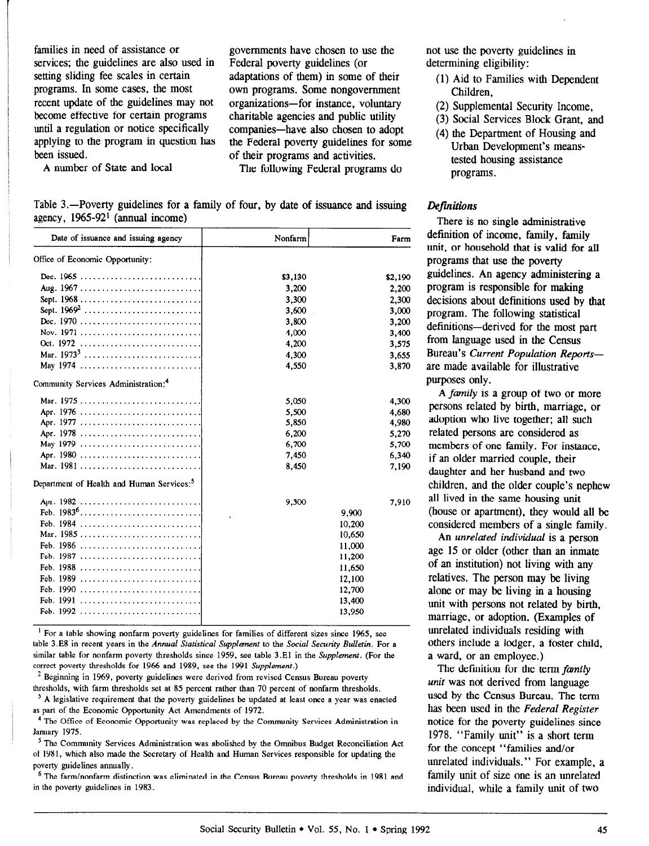families in need of assistance or governments have chosen to use the services; the guidelines are also used in Federal poverty guidelines (or setting sliding fee scales in certain adaptations of them) in some of their programs. In some cases, the most own programs. Some nongovernment recent update of the guidelines may not organizations-for instance, voluntary<br>become effective for certain programs charitable agencies and public utility until a regulation or notice specifically companies-have also chosen to adopt applying to the program in question has the Federal poverty guidelines for some been issued.  $\qquad \qquad$  of their programs and activities.

own programs. Some nongovernment charitable agencies and public utility

A number of State and local The following Federal programs do

Table 3.-Poverty guidelines for a family of four, by date of issuance and issuing agency,  $1965-92<sup>1</sup>$  (annual income)

| Date of issuance and issuing agency                   | Nonfarm | Farm    |
|-------------------------------------------------------|---------|---------|
| Office of Economic Opportunity:                       |         |         |
| Dec. $1965$                                           | \$3,130 | \$2,190 |
| Aug. 1967                                             | 3,200   | 2,200   |
| Sept. $1968$                                          | 3,300   | 2,300   |
| Sept. $1969^2$                                        | 3,600   | 3,000   |
|                                                       | 3.800   | 3,200   |
|                                                       | 4,000   | 3,400   |
| Oct. 1972                                             | 4,200   | 3,575   |
| Mar. $1973^3$                                         | 4,300   | 3,655   |
| May 1974                                              | 4,550   | 3,870   |
| Community Services Administration: <sup>4</sup>       |         |         |
|                                                       | 5,050   | 4,300   |
| Apr. 1976                                             | 5,500   | 4,680   |
|                                                       | 5,850   | 4,980   |
| Apr. 1978                                             | 6,200   | 5,270   |
| May 1979                                              | 6,700   | 5,700   |
|                                                       | 7,450   | 6,340   |
| Mar. 1981                                             | 8,450   | 7,190   |
| Department of Health and Human Services: <sup>5</sup> |         |         |
| Apr. 1982                                             | 9,300   | 7,910   |
| Feb. 1983 <sup>6</sup>                                | 9,900   |         |
| Feb. 1984                                             | 10,200  |         |
| Mar. 1985                                             | 10,650  |         |
|                                                       | 11,000  |         |
| Feb. 1987                                             | 11,200  |         |
|                                                       | 11,650  |         |
| Feb. 1989                                             | 12,100  |         |
| Feb. 1990                                             | 12,700  |         |
|                                                       |         | 13,400  |
| Feb. 1992                                             |         | 13,950  |

<sup>1</sup> For a table showing nonfarm poverty guidelines for families of different sizes since 1965, see table 3.E8 in recent years in the Annual Statistical Supplement to the Social Security Bulletin. For a similar table for nonfarm poverty thresholds since 1959, see table  $3.E1$  in the *Supplement*. (For the correct poverty thresholds for 1966 and 1989, see the 1991 Supplement.)

 $<sup>2</sup>$  Beginning in 1969, poverty guidelines were derived from revised Census Bureau poverty</sup> thresholds, with farm thresholds set at 85 percent rather than 70 percent of nonfarm thresholds.

<sup>3</sup> A legislative requirement that the poverty guidelines be updated at least once a year was enacted as part of the Economic Opportunity Act Amendments of 1972.

<sup>4</sup> The Office of Economic Opportunity was replaced by the Community Services Administration in January 1975.

<sup>5</sup> The Community Services Administration was abolished by the Omnibus Budget Reconciliation Act of 1981, which also made the Secretary of Health and Human Services responsible for updating the poverty guidelines annually.

6 The farm/nonfarm distinction was eliminated in the Census Bureau poverty thresholds in 1981 and in the poverty guidelines in 1983.

not use the poverty guidelines in determining eligibility:

- (1) Aid to Families with Dependent Children,
- (2) Supplemental Security Income,
- (3) Social Services Block Grant, and
- (4) the Department of Housing and Urban Development's meanstested housing assistance programs.

### Definitions

There is no single administrative definition of income, family, family unit, or household that is valid for all programs that use the poverty guidelines. An agency administering a program is responsible for making decisions about definitions used by that program. The following statistical definitions-derived for the most part from language used in the Census Bureau's Current Population Reportsare made available for illustrative purposes only.

A family is a group of two or more persons related by birth, marriage, or adoption who live together; all such related persons are considered as members of one family. For instance, if an older married couple, their daughter and her husband and two children, and the older couple's nephew all lived in the same housing unit (house or apartment), they would all be considered members of a single family.

An unrelated individual is a person age 15 or older (other than an inmate of an institution) not living with any relatives. The person may be living alone or may be living in a housing unit with persons not related by birth, marriage, or adoption. (Examples of unrelated individuals residing with others include a lodger, a foster child, a ward, or an employee.)

The definition for the term family unit was not derived from language  $\frac{1}{2}$  and  $\frac{1}{2}$  the central momentum  $\frac{1}{2}$ used by the census bureau. The ferm has been used in the *Federal Register*<br>notice for the poverty guidelines since 1978. "Family unit" is a short term  $f_{\text{F}}$   $f_{\text{F}}$   $f_{\text{F}}$   $f_{\text{F}}$   $f_{\text{F}}$   $f_{\text{F}}$   $f_{\text{F}}$   $f_{\text{F}}$   $f_{\text{F}}$   $f_{\text{F}}$   $f_{\text{F}}$   $f_{\text{F}}$   $f_{\text{F}}$   $f_{\text{F}}$   $f_{\text{F}}$   $f_{\text{F}}$   $f_{\text{F}}$   $f_{\text{F}}$   $f_{\text{F}}$   $f_{\text{F}}$   $f_{\text{F}}$   $f_{\text{F}}$   $\frac{1}{2}$  for example, and  $\frac{1}{2}$  for  $\frac{1}{2}$  for  $\frac{1}{2}$  for  $\frac{1}{2}$  for  $\frac{1}{2}$ un claicu mulviquais. For example, family unit of size one is an unrelated<br>individual, while a family unit of two